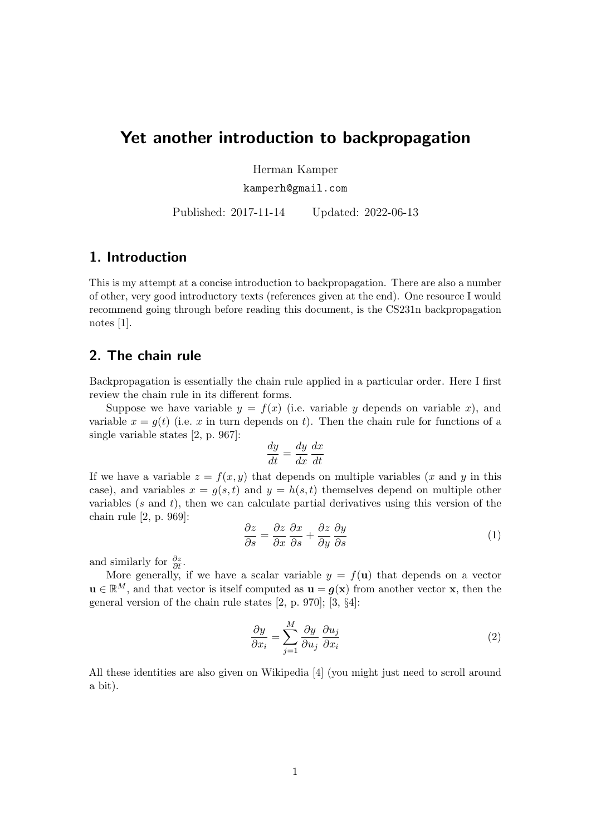# Yet another introduction to backpropagation

Herman Kamper

kamperh@gmail.com

Published: 2017-11-14 Updated: 2022-06-13

## 1. Introduction

This is my attempt at a concise introduction to backpropagation. There are also a number of other, very good introductory texts (references given at the end). One resource I would recommend going through before reading this document, is the CS231n backpropagation notes [\[1\]](#page-10-0).

## 2. The chain rule

Backpropagation is essentially the chain rule applied in a particular order. Here I first review the chain rule in its different forms.

Suppose we have variable  $y = f(x)$  (i.e. variable y depends on variable x), and variable  $x = g(t)$  (i.e. x in turn depends on t). Then the chain rule for functions of a single variable states [\[2,](#page-10-1) p. 967]:

$$
\frac{dy}{dt} = \frac{dy}{dx}\frac{dx}{dt}
$$

If we have a variable  $z = f(x, y)$  that depends on multiple variables (x and y in this case), and variables  $x = g(s, t)$  and  $y = h(s, t)$  themselves depend on multiple other variables  $(s \text{ and } t)$ , then we can calculate partial derivatives using this version of the chain rule [\[2,](#page-10-1) p. 969]:

<span id="page-0-0"></span>
$$
\frac{\partial z}{\partial s} = \frac{\partial z}{\partial x} \frac{\partial x}{\partial s} + \frac{\partial z}{\partial y} \frac{\partial y}{\partial s}
$$
(1)

and similarly for  $\frac{\partial z}{\partial t}$ .

More generally, if we have a scalar variable  $y = f(\mathbf{u})$  that depends on a vector  $\mathbf{u} \in \mathbb{R}^M$ , and that vector is itself computed as  $\mathbf{u} = g(\mathbf{x})$  from another vector x, then the general version of the chain rule states [\[2,](#page-10-1) p. 970]; [\[3,](#page-10-2) §4]:

<span id="page-0-1"></span>
$$
\frac{\partial y}{\partial x_i} = \sum_{j=1}^{M} \frac{\partial y}{\partial u_j} \frac{\partial u_j}{\partial x_i}
$$
 (2)

All these identities are also given on Wikipedia [\[4\]](#page-10-3) (you might just need to scroll around a bit).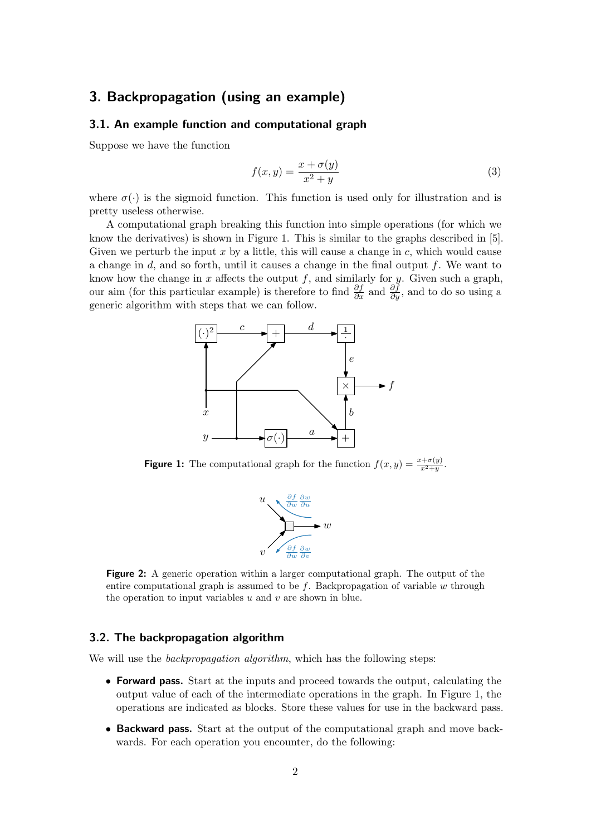## <span id="page-1-3"></span>3. Backpropagation (using an example)

### 3.1. An example function and computational graph

Suppose we have the function

<span id="page-1-2"></span>
$$
f(x,y) = \frac{x + \sigma(y)}{x^2 + y}
$$
\n<sup>(3)</sup>

where  $\sigma(\cdot)$  is the sigmoid function. This function is used only for illustration and is pretty useless otherwise.

<span id="page-1-0"></span>A computational graph breaking this function into simple operations (for which we know the derivatives) is shown in Figure [1.](#page-1-0) This is similar to the graphs described in [\[5\]](#page-10-4). Given we perturb the input x by a little, this will cause a change in  $c$ , which would cause a change in  $d$ , and so forth, until it causes a change in the final output  $f$ . We want to know how the change in x affects the output  $f$ , and similarly for y. Given such a graph, our aim (for this particular example) is therefore to find  $\frac{\partial f}{\partial x}$  and  $\frac{\partial f}{\partial y}$ , and to do so using a generic algorithm with steps that we can follow.



<span id="page-1-1"></span>**Figure 1:** The computational graph for the function  $f(x, y) = \frac{x + \sigma(y)}{x^2 + y}$ .



Figure 2: A generic operation within a larger computational graph. The output of the entire computational graph is assumed to be  $f$ . Backpropagation of variable  $w$  through the operation to input variables  $u$  and  $v$  are shown in blue.

### 3.2. The backpropagation algorithm

We will use the *backpropagation algorithm*, which has the following steps:

- Forward pass. Start at the inputs and proceed towards the output, calculating the output value of each of the intermediate operations in the graph. In Figure [1,](#page-1-0) the operations are indicated as blocks. Store these values for use in the backward pass.
- Backward pass. Start at the output of the computational graph and move backwards. For each operation you encounter, do the following: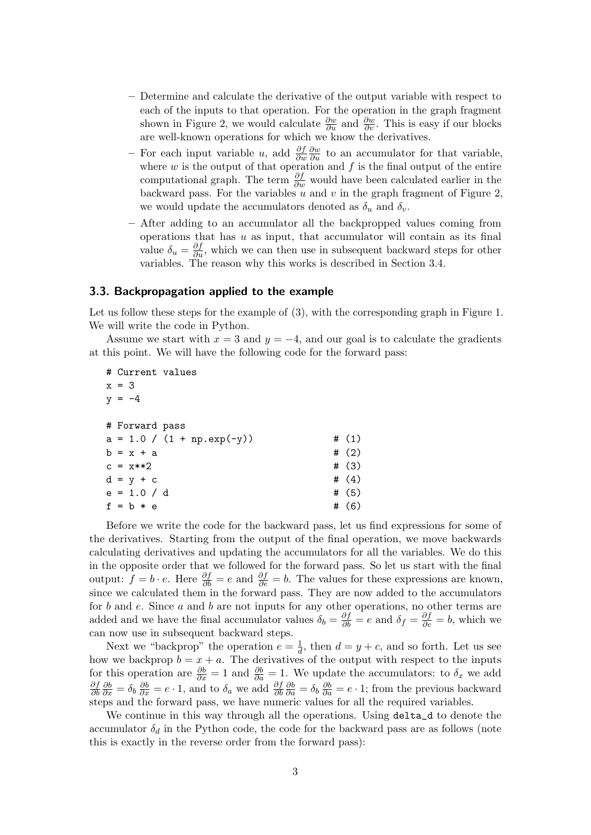- Determine and calculate the derivative of the output variable with respect to each of the inputs to that operation. For the operation in the graph fragment shown in Figure [2,](#page-1-1) we would calculate  $\frac{\partial w}{\partial u}$  and  $\frac{\partial w}{\partial v}$ . This is easy if our blocks are well-known operations for which we know the derivatives.
- For each input variable u, add  $\frac{\partial f}{\partial w}$  $\frac{\partial w}{\partial u}$  to an accumulator for that variable, where  $w$  is the output of that operation and  $f$  is the final output of the entire computational graph. The term  $\frac{\partial f}{\partial w}$  would have been calculated earlier in the backward pass. For the variables  $u$  and  $v$  in the graph fragment of Figure [2,](#page-1-1) we would update the accumulators denoted as  $\delta_u$  and  $\delta_v$ .
- After adding to an accumulator all the backpropped values coming from operations that has  $u$  as input, that accumulator will contain as its final value  $\delta_u = \frac{\partial f}{\partial u}$ , which we can then use in subsequent backward steps for other variables. The reason why this works is described in Section [3.4.](#page-3-0)

#### 3.3. Backpropagation applied to the example

Let us follow these steps for the example of  $(3)$ , with the corresponding graph in Figure [1.](#page-1-0) We will write the code in Python.

Assume we start with  $x = 3$  and  $y = -4$ , and our goal is to calculate the gradients at this point. We will have the following code for the forward pass:

| # Current values |                              |   |         |
|------------------|------------------------------|---|---------|
| $x = 3$          |                              |   |         |
| $y = -4$         |                              |   |         |
|                  |                              |   |         |
| # Forward pass   |                              |   |         |
|                  | $a = 1.0 / (1 + np.exp(-y))$ |   | # $(1)$ |
| $b = x + a$      |                              |   | # (2)   |
| $c = x**2$       |                              |   | # (3)   |
| $d = y + c$      |                              |   | # $(4)$ |
| $e = 1.0 / d$    |                              |   | # $(5)$ |
| $f = b * e$      |                              | # | (6)     |

Before we write the code for the backward pass, let us find expressions for some of the derivatives. Starting from the output of the final operation, we move backwards calculating derivatives and updating the accumulators for all the variables. We do this in the opposite order that we followed for the forward pass. So let us start with the final output:  $\hat{f} = b \cdot e$ . Here  $\frac{\partial f}{\partial b} = e$  and  $\frac{\partial f}{\partial e} = b$ . The values for these expressions are known, since we calculated them in the forward pass. They are now added to the accumulators for b and e. Since a and b are not inputs for any other operations, no other terms are added and we have the final accumulator values  $\delta_b = \frac{\partial f}{\partial b} = e$  and  $\delta_f = \frac{\partial f}{\partial e} = b$ , which we can now use in subsequent backward steps.

Next we "backprop" the operation  $e = \frac{1}{d}$  $\frac{1}{d}$ , then  $d = y + c$ , and so forth. Let us see how we backprop  $b = x + a$ . The derivatives of the output with respect to the inputs for this operation are  $\frac{\partial b}{\partial x} = 1$  and  $\frac{\partial b}{\partial a} = 1$ . We update the accumulators: to  $\delta_x$  we add ∂f ∂b  $\frac{\partial b}{\partial x} = \delta_b \frac{\partial b}{\partial x} = e \cdot 1$ , and to  $\delta_a$  we add  $\frac{\partial f}{\partial b}$  $\frac{\partial b}{\partial a} = \delta_b \frac{\partial b}{\partial a} = e \cdot 1$ ; from the previous backward steps and the forward pass, we have numeric values for all the required variables.

We continue in this way through all the operations. Using delta\_d to denote the accumulator  $\delta_d$  in the Python code, the code for the backward pass are as follows (note this is exactly in the reverse order from the forward pass):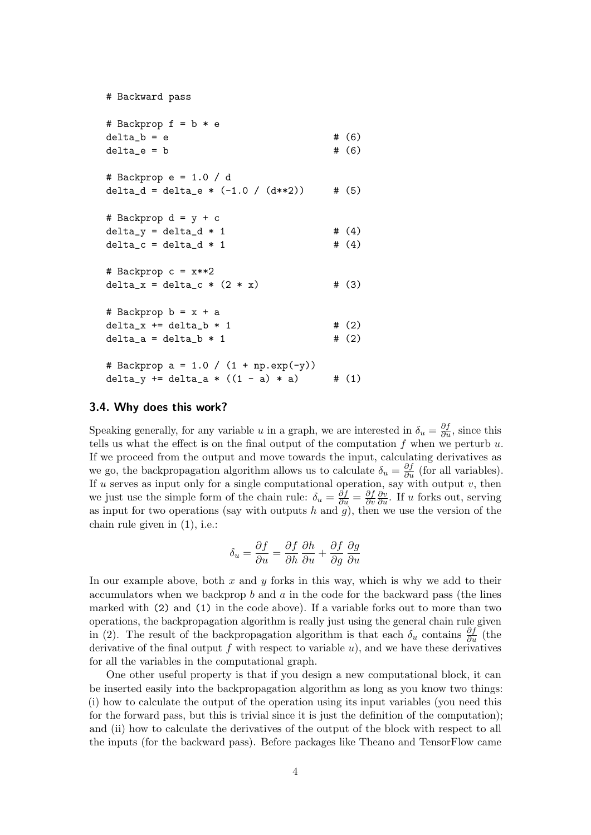```
# Backward pass
# Backprop f = b * e
delta_b = e # (6)delta_e = b # (6)# Backprop e = 1.0 / d
delta_d = delta_e * (-1.0 / (d**2)) # (5)# Backprop d = y + cdelta_y = delta_d * 1 # (4)delta_c = delta_d * 1 # (4)
# Backprop c = x**2
delta_x = delta_c * (2 * x) # (3)
# Backprop b = x + adelta_x += delta_b * 1 \# (2)delta_a = delta_b * 1 # (2)
# Backprop a = 1.0 / (1 + np.exp(-y))delta_y += delta_a * ((1 - a) * a) # (1)
```
### <span id="page-3-0"></span>3.4. Why does this work?

Speaking generally, for any variable u in a graph, we are interested in  $\delta_u = \frac{\partial f}{\partial u}$ , since this tells us what the effect is on the final output of the computation  $f$  when we perturb  $u$ . If we proceed from the output and move towards the input, calculating derivatives as we go, the backpropagation algorithm allows us to calculate  $\delta_u = \frac{\partial f}{\partial u}$  (for all variables). If u serves as input only for a single computational operation, say with output  $v$ , then we just use the simple form of the chain rule:  $\delta_u = \frac{\partial f}{\partial u} = \frac{\partial f}{\partial v}$ ∂v  $\frac{\partial v}{\partial u}$ . If u forks out, serving as input for two operations (say with outputs  $h$  and  $g$ ), then we use the version of the chain rule given in [\(1\)](#page-0-0), i.e.:

$$
\delta_u = \frac{\partial f}{\partial u} = \frac{\partial f}{\partial h} \frac{\partial h}{\partial u} + \frac{\partial f}{\partial g} \frac{\partial g}{\partial u}
$$

In our example above, both x and  $y$  forks in this way, which is why we add to their accumulators when we backprop  $b$  and  $a$  in the code for the backward pass (the lines marked with (2) and (1) in the code above). If a variable forks out to more than two operations, the backpropagation algorithm is really just using the general chain rule given in [\(2\)](#page-0-1). The result of the backpropagation algorithm is that each  $\delta_u$  contains  $\frac{\partial f}{\partial u}$  (the derivative of the final output f with respect to variable  $u$ ), and we have these derivatives for all the variables in the computational graph.

One other useful property is that if you design a new computational block, it can be inserted easily into the backpropagation algorithm as long as you know two things: (i) how to calculate the output of the operation using its input variables (you need this for the forward pass, but this is trivial since it is just the definition of the computation); and (ii) how to calculate the derivatives of the output of the block with respect to all the inputs (for the backward pass). Before packages like Theano and TensorFlow came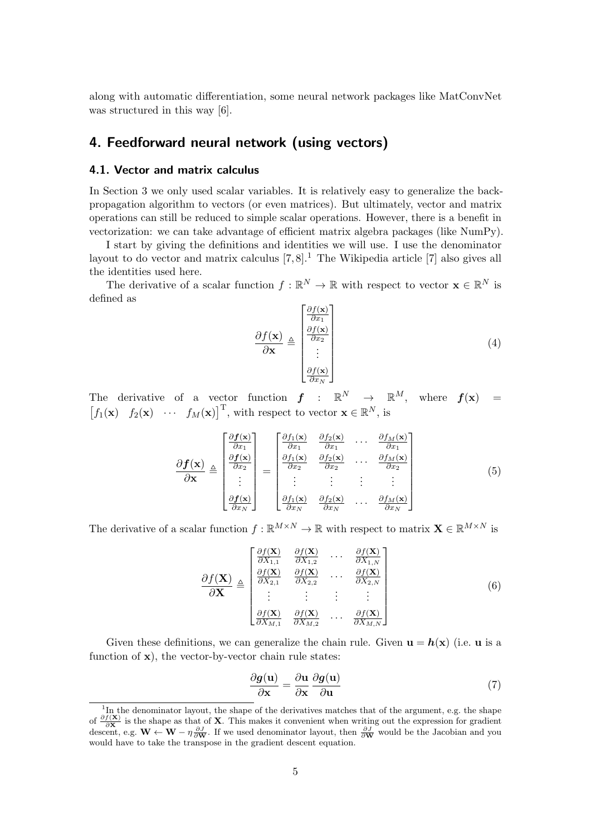along with automatic differentiation, some neural network packages like MatConvNet was structured in this way [\[6\]](#page-10-5).

## 4. Feedforward neural network (using vectors)

### 4.1. Vector and matrix calculus

In Section [3](#page-1-3) we only used scalar variables. It is relatively easy to generalize the backpropagation algorithm to vectors (or even matrices). But ultimately, vector and matrix operations can still be reduced to simple scalar operations. However, there is a benefit in vectorization: we can take advantage of efficient matrix algebra packages (like NumPy).

I start by giving the definitions and identities we will use. I use the denominator layout to do vector and matrix calculus  $[7, 8]$  $[7, 8]$  $[7, 8]$ .<sup>[1](#page-4-0)</sup> The Wikipedia article  $[7]$  also gives all the identities used here.

The derivative of a scalar function  $f : \mathbb{R}^N \to \mathbb{R}$  with respect to vector  $\mathbf{x} \in \mathbb{R}^N$  is defined as

$$
\frac{\partial f(\mathbf{x})}{\partial \mathbf{x}} \triangleq \begin{bmatrix} \frac{\partial f(\mathbf{x})}{\partial x_1} \\ \frac{\partial f(\mathbf{x})}{\partial x_2} \\ \vdots \\ \frac{\partial f(\mathbf{x})}{\partial x_N} \end{bmatrix}
$$
(4)

The derivative of a vector function  $f : \mathbb{R}^N \to \mathbb{R}^M$ , where  $f(\mathbf{x}) =$  $[f_1(\mathbf{x}) \quad f_2(\mathbf{x}) \quad \cdots \quad f_M(\mathbf{x})]^{\mathrm{T}}$ , with respect to vector  $\mathbf{x} \in \mathbb{R}^N$ , is

$$
\frac{\partial \boldsymbol{f}(\mathbf{x})}{\partial \mathbf{x}} \triangleq \begin{bmatrix} \frac{\partial \boldsymbol{f}(\mathbf{x})}{\partial x_1} \\ \frac{\partial \boldsymbol{f}(\mathbf{x})}{\partial x_2} \\ \vdots \\ \frac{\partial \boldsymbol{f}(\mathbf{x})}{\partial x_N} \end{bmatrix} = \begin{bmatrix} \frac{\partial f_1(\mathbf{x})}{\partial x_1} & \frac{\partial f_2(\mathbf{x})}{\partial x_1} & \cdots & \frac{\partial f_M(\mathbf{x})}{\partial x_1} \\ \frac{\partial f_1(\mathbf{x})}{\partial x_2} & \frac{\partial f_2(\mathbf{x})}{\partial x_2} & \cdots & \frac{\partial f_M(\mathbf{x})}{\partial x_2} \\ \vdots & \vdots & \vdots & \vdots \\ \frac{\partial f_1(\mathbf{x})}{\partial x_N} & \frac{\partial f_2(\mathbf{x})}{\partial x_N} & \cdots & \frac{\partial f_M(\mathbf{x})}{\partial x_N} \end{bmatrix}
$$
(5)

The derivative of a scalar function  $f : \mathbb{R}^{M \times N} \to \mathbb{R}$  with respect to matrix  $\mathbf{X} \in \mathbb{R}^{M \times N}$  is

$$
\frac{\partial f(\mathbf{X})}{\partial \mathbf{X}} \triangleq \begin{bmatrix} \frac{\partial f(\mathbf{X})}{\partial X_{1,1}} & \frac{\partial f(\mathbf{X})}{\partial X_{1,2}} & \cdots & \frac{\partial f(\mathbf{X})}{\partial X_{1,N}} \\ \frac{\partial f(\mathbf{X})}{\partial X_{2,1}} & \frac{\partial f(\mathbf{X})}{\partial X_{2,2}} & \cdots & \frac{\partial f(\mathbf{X})}{\partial X_{2,N}} \\ \vdots & \vdots & \vdots & \vdots \\ \frac{\partial f(\mathbf{X})}{\partial X_{M,1}} & \frac{\partial f(\mathbf{X})}{\partial X_{M,2}} & \cdots & \frac{\partial f(\mathbf{X})}{\partial X_{M,N}} \end{bmatrix}
$$
(6)

Given these definitions, we can generalize the chain rule. Given  $\mathbf{u} = \mathbf{h}(\mathbf{x})$  (i.e.  $\mathbf{u}$  is a function of  $x$ ), the vector-by-vector chain rule states:

<span id="page-4-2"></span><span id="page-4-1"></span>
$$
\frac{\partial g(\mathbf{u})}{\partial \mathbf{x}} = \frac{\partial \mathbf{u}}{\partial \mathbf{x}} \frac{\partial g(\mathbf{u})}{\partial \mathbf{u}} \tag{7}
$$

<span id="page-4-0"></span><sup>&</sup>lt;sup>1</sup>In the denominator layout, the shape of the derivatives matches that of the argument, e.g. the shape of  $\frac{\partial f(\mathbf{X})}{\partial \mathbf{X}}$  is the shape as that of **X**. This makes it convenient when writing out the expression for gradient descent, e.g.  $\mathbf{W} \leftarrow \mathbf{W} - \eta \frac{\partial J}{\partial \mathbf{W}}$ . If we used denominator layout, then  $\frac{\partial J}{\partial \mathbf{W}}$  would be the Jacobian and you would have to take the transpose in the gradient descent equation.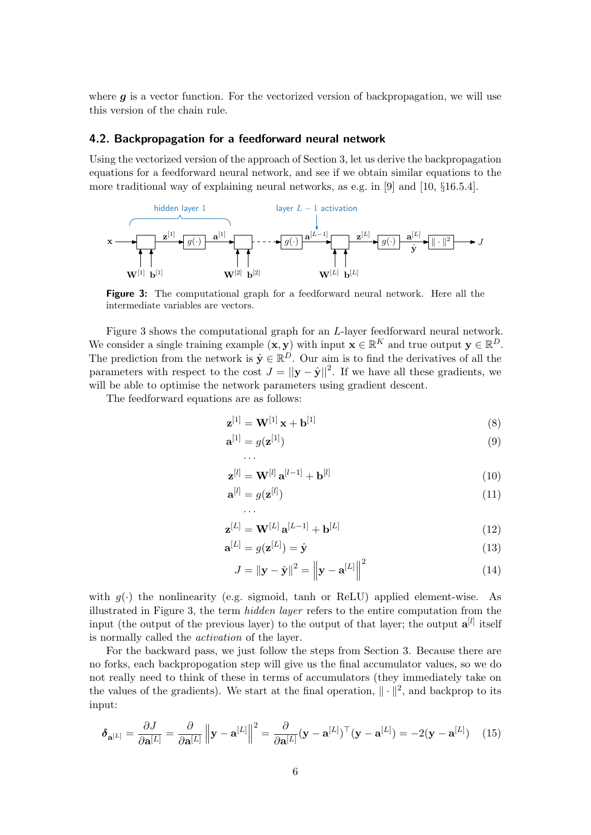where  $g$  is a vector function. For the vectorized version of backpropagation, we will use this version of the chain rule.

### <span id="page-5-2"></span>4.2. Backpropagation for a feedforward neural network

Using the vectorized version of the approach of Section [3,](#page-1-3) let us derive the backpropagation equations for a feedforward neural network, and see if we obtain similar equations to the more traditional way of explaining neural networks, as e.g. in [\[9\]](#page-10-8) and [\[10,](#page-10-9) §16.5.4].

<span id="page-5-0"></span>

Figure 3: The computational graph for a feedforward neural network. Here all the intermediate variables are vectors.

Figure [3](#page-5-0) shows the computational graph for an L-layer feedforward neural network. We consider a single training example  $(\mathbf{x}, \mathbf{y})$  with input  $\mathbf{x} \in \mathbb{R}^K$  and true output  $\mathbf{y} \in \mathbb{R}^D$ . The prediction from the network is  $\hat{\mathbf{y}} \in \mathbb{R}^D$ . Our aim is to find the derivatives of all the parameters with respect to the cost  $J = ||\mathbf{y} - \hat{\mathbf{y}}||^2$ . If we have all these gradients, we will be able to optimise the network parameters using gradient descent.

The feedforward equations are as follows:

· · ·

· · ·

$$
\mathbf{z}^{[1]} = \mathbf{W}^{[1]} \mathbf{x} + \mathbf{b}^{[1]}
$$
 (8)

$$
\mathbf{a}^{[1]} = g(\mathbf{z}^{[1]}) \tag{9}
$$

$$
\mathbf{z}^{[l]} = \mathbf{W}^{[l]} \, \mathbf{a}^{[l-1]} + \mathbf{b}^{[l]} \tag{10}
$$

$$
\mathbf{a}^{[l]} = g(\mathbf{z}^{[l]}) \tag{11}
$$

$$
\mathbf{z}^{[L]} = \mathbf{W}^{[L]} \, \mathbf{a}^{[L-1]} + \mathbf{b}^{[L]} \tag{12}
$$

$$
\mathbf{a}^{[L]} = g(\mathbf{z}^{[L]}) = \hat{\mathbf{y}} \tag{13}
$$

$$
J = \|\mathbf{y} - \hat{\mathbf{y}}\|^2 = \left\|\mathbf{y} - \mathbf{a}^{[L]}\right\|^2 \tag{14}
$$

with  $g(\cdot)$  the nonlinearity (e.g. sigmoid, tanh or ReLU) applied element-wise. As illustrated in Figure [3,](#page-5-0) the term hidden layer refers to the entire computation from the input (the output of the previous layer) to the output of that layer; the output  $a^{[l]}$  itself is normally called the activation of the layer.

For the backward pass, we just follow the steps from Section [3.](#page-1-3) Because there are no forks, each backpropogation step will give us the final accumulator values, so we do not really need to think of these in terms of accumulators (they immediately take on the values of the gradients). We start at the final operation,  $\|\cdot\|^2$ , and backprop to its input:

<span id="page-5-1"></span>
$$
\delta_{\mathbf{a}^{[L]}} = \frac{\partial J}{\partial \mathbf{a}^{[L]}} = \frac{\partial}{\partial \mathbf{a}^{[L]}} \left\| \mathbf{y} - \mathbf{a}^{[L]} \right\|^2 = \frac{\partial}{\partial \mathbf{a}^{[L]}} (\mathbf{y} - \mathbf{a}^{[L]})^\top (\mathbf{y} - \mathbf{a}^{[L]}) = -2(\mathbf{y} - \mathbf{a}^{[L]}) \tag{15}
$$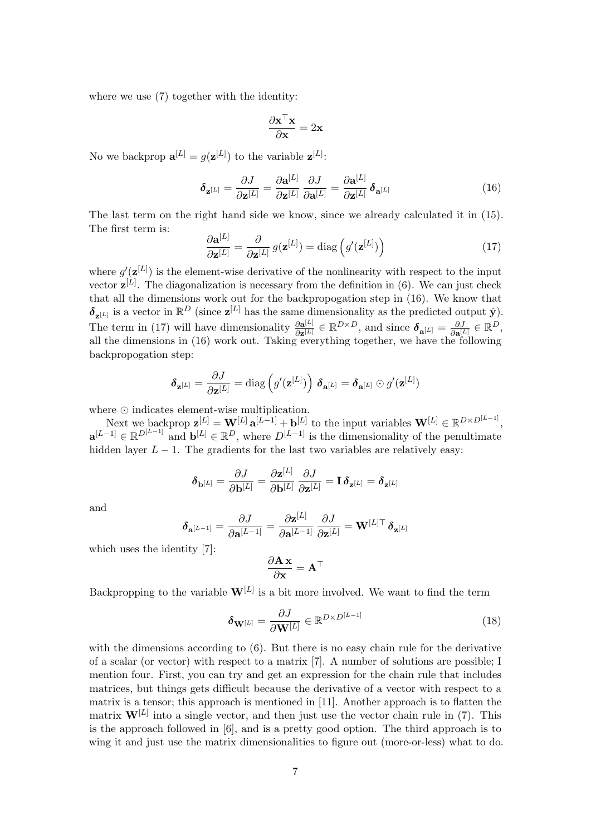where we use  $(7)$  together with the identity:

<span id="page-6-0"></span>
$$
\frac{\partial \mathbf{x}^\top \mathbf{x}}{\partial \mathbf{x}} = 2\mathbf{x}
$$

No we backprop  $\mathbf{a}^{[L]} = g(\mathbf{z}^{[L]})$  to the variable  $\mathbf{z}^{[L]}$ :

$$
\delta_{\mathbf{z}^{[L]}} = \frac{\partial J}{\partial \mathbf{z}^{[L]}} = \frac{\partial \mathbf{a}^{[L]}}{\partial \mathbf{z}^{[L]}} \frac{\partial J}{\partial \mathbf{a}^{[L]}} = \frac{\partial \mathbf{a}^{[L]}}{\partial \mathbf{z}^{[L]}} \delta_{\mathbf{a}^{[L]}} \tag{16}
$$

The last term on the right hand side we know, since we already calculated it in [\(15\)](#page-5-1). The first term is:

<span id="page-6-1"></span>
$$
\frac{\partial \mathbf{a}^{[L]}}{\partial \mathbf{z}^{[L]}} = \frac{\partial}{\partial \mathbf{z}^{[L]}} g(\mathbf{z}^{[L]}) = \text{diag}\left(g'(\mathbf{z}^{[L]})\right) \tag{17}
$$

where  $g'(\mathbf{z}^{[L]})$  is the element-wise derivative of the nonlinearity with respect to the input vector  $z^{[L]}$ . The diagonalization is necessary from the definition in [\(6\)](#page-4-2). We can just check that all the dimensions work out for the backpropogation step in [\(16\)](#page-6-0). We know that  $\delta_{\mathbf{z}^{[L]}}$  is a vector in  $\mathbb{R}^D$  (since  $\mathbf{z}^{[L]}$  has the same dimensionality as the predicted output  $\hat{\mathbf{y}}$ ). The term in [\(17\)](#page-6-1) will have dimensionality  $\frac{\partial a^{[L]}}{\partial r^{[L]}}$  $\frac{\partial \mathbf{a}^{[L]}}{\partial \mathbf{z}^{[L]}} \in \mathbb{R}^{D \times D}$ , and since  $\boldsymbol{\delta}_{\mathbf{a}^{[L]}} = \frac{\partial J}{\partial \mathbf{a}^{[L]}} \in \mathbb{R}^{D}$ , all the dimensions in [\(16\)](#page-6-0) work out. Taking everything together, we have the following backpropogation step:

$$
\boldsymbol{\delta}_{\mathbf{z}^{[L]}} = \frac{\partial J}{\partial \mathbf{z}^{[L]}} = \text{diag}\left(g'(\mathbf{z}^{[L]})\right) \, \boldsymbol{\delta}_{\mathbf{a}^{[L]}} = \boldsymbol{\delta}_{\mathbf{a}^{[L]}} \odot g'(\mathbf{z}^{[L]})
$$

where  $\odot$  indicates element-wise multiplication.

Next we backprop  $\mathbf{z}^{[L]} = \mathbf{W}^{[L]} \mathbf{a}^{[L-1]} + \mathbf{b}^{[L]}$  to the input variables  $\mathbf{W}^{[L]} \in \mathbb{R}^{D \times D^{[L-1]}},$  $\mathbf{a}^{[L-1]} \in \mathbb{R}^{D^{[L-1]}}$  and  $\mathbf{b}^{[L]} \in \mathbb{R}^D$ , where  $D^{[L-1]}$  is the dimensionality of the penultimate hidden layer  $L - 1$ . The gradients for the last two variables are relatively easy:

$$
\pmb{\delta}_{\mathbf{b}^{[L]}} = \frac{\partial J}{\partial \mathbf{b}^{[L]}} = \frac{\partial \mathbf{z}^{[L]}}{\partial \mathbf{b}^{[L]}} \frac{\partial J}{\partial \mathbf{z}^{[L]}} = \mathbf{I} \, \pmb{\delta}_{\mathbf{z}^{[L]}} = \pmb{\delta}_{\mathbf{z}^{[L]}}
$$

and

$$
\boldsymbol{\delta}_{\mathbf{a}^{[L-1]}} = \frac{\partial J}{\partial \mathbf{a}^{[L-1]}} = \frac{\partial \mathbf{z}^{[L]}}{\partial \mathbf{a}^{[L-1]}} \frac{\partial J}{\partial \mathbf{z}^{[L]}} = \mathbf{W}^{[L] \top} \boldsymbol{\delta}_{\mathbf{z}^{[L]}}
$$

which uses the identity [\[7\]](#page-10-6):

$$
\frac{\partial \mathbf{A}\,\mathbf{x}}{\partial \mathbf{x}} = \mathbf{A}^\top
$$

Backpropping to the variable  $W^{[L]}$  is a bit more involved. We want to find the term

$$
\delta_{\mathbf{W}^{[L]}} = \frac{\partial J}{\partial \mathbf{W}^{[L]}} \in \mathbb{R}^{D \times D^{[L-1]}}
$$
(18)

with the dimensions according to [\(6\)](#page-4-2). But there is no easy chain rule for the derivative of a scalar (or vector) with respect to a matrix [\[7\]](#page-10-6). A number of solutions are possible; I mention four. First, you can try and get an expression for the chain rule that includes matrices, but things gets difficult because the derivative of a vector with respect to a matrix is a tensor; this approach is mentioned in [\[11\]](#page-10-10). Another approach is to flatten the matrix  $W^{[L]}$  into a single vector, and then just use the vector chain rule in [\(7\)](#page-4-1). This is the approach followed in [\[6\]](#page-10-5), and is a pretty good option. The third approach is to wing it and just use the matrix dimensionalities to figure out (more-or-less) what to do.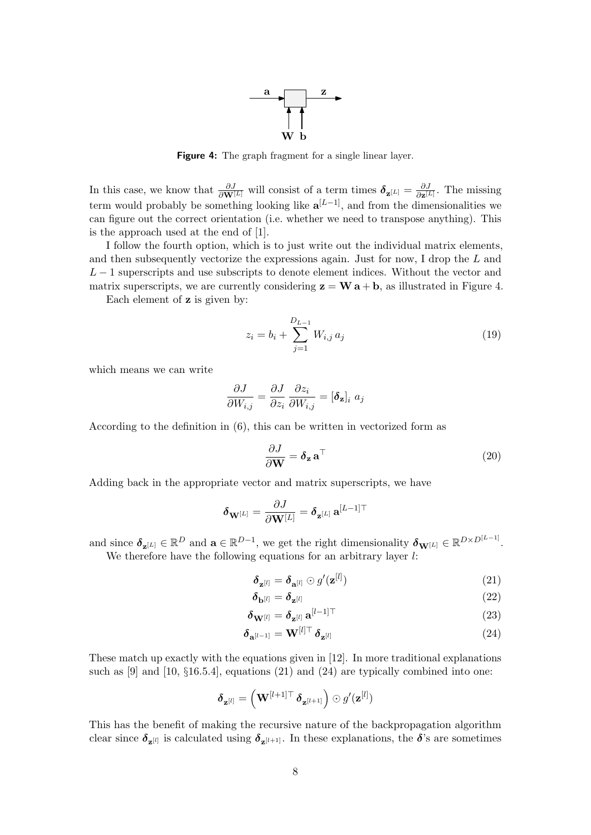

Figure 4: The graph fragment for a single linear layer.

<span id="page-7-0"></span>In this case, we know that  $\frac{\partial J}{\partial \mathbf{W}^{[L]}}$  will consist of a term times  $\delta_{\mathbf{z}^{[L]}} = \frac{\partial J}{\partial \mathbf{z}^{[L]}}$  $\frac{\partial J}{\partial \mathbf{z}^{[L]}}$ . The missing term would probably be something looking like  $a^{[L-1]}$ , and from the dimensionalities we can figure out the correct orientation (i.e. whether we need to transpose anything). This is the approach used at the end of [\[1\]](#page-10-0).

I follow the fourth option, which is to just write out the individual matrix elements, and then subsequently vectorize the expressions again. Just for now, I drop the L and  $L-1$  superscripts and use subscripts to denote element indices. Without the vector and matrix superscripts, we are currently considering  $z = W a + b$ , as illustrated in Figure [4.](#page-7-0)

Each element of z is given by:

$$
z_i = b_i + \sum_{j=1}^{D_{L-1}} W_{i,j} a_j
$$
\n(19)

which means we can write

$$
\frac{\partial J}{\partial W_{i,j}} = \frac{\partial J}{\partial z_i} \frac{\partial z_i}{\partial W_{i,j}} = [\boldsymbol{\delta}_{\mathbf{z}}]_i \; a_j
$$

According to the definition in [\(6\)](#page-4-2), this can be written in vectorized form as

<span id="page-7-3"></span>
$$
\frac{\partial J}{\partial \mathbf{W}} = \boldsymbol{\delta}_{\mathbf{z}} \, \mathbf{a}^{\top} \tag{20}
$$

Adding back in the appropriate vector and matrix superscripts, we have

$$
\boldsymbol{\delta}_{\mathbf{W}^{[L]}}=\frac{\partial J}{\partial \mathbf{W}^{[L]}}=\boldsymbol{\delta}_{\mathbf{z}^{[L]}}\,\mathbf{a}^{[L-1]\top}
$$

and since  $\delta_{\mathbf{z}^{[L]}} \in \mathbb{R}^D$  and  $\mathbf{a} \in \mathbb{R}^{D-1}$ , we get the right dimensionality  $\delta_{\mathbf{W}^{[L]}} \in \mathbb{R}^{D \times D^{[L-1]}}$ . We therefore have the following equations for an arbitrary layer  $l$ :

<span id="page-7-1"></span>
$$
\delta_{\mathbf{z}^{[l]}} = \delta_{\mathbf{a}^{[l]}} \odot g'(\mathbf{z}^{[l]}) \tag{21}
$$

<span id="page-7-2"></span>
$$
\delta_{\mathbf{b}^{[l]}} = \delta_{\mathbf{z}^{[l]}} \tag{22}
$$

$$
\delta_{\mathbf{W}^{[l]}} = \delta_{\mathbf{z}^{[l]}} \mathbf{a}^{[l-1]\top} \tag{23}
$$

$$
\delta_{\mathbf{a}^{[l-1]}} = \mathbf{W}^{[l]\top} \, \delta_{\mathbf{z}^{[l]}} \tag{24}
$$

These match up exactly with the equations given in [\[12\]](#page-10-11). In more traditional explanations such as  $[9]$  and  $[10, §16.5.4]$  $[10, §16.5.4]$ , equations  $(21)$  and  $(24)$  are typically combined into one:

$$
\boldsymbol{\delta}_{\mathbf{z}^{[l]}} = \left(\mathbf{W}^{[l+1]\top} \, \boldsymbol{\delta}_{\mathbf{z}^{[l+1]}}\right) \odot g'(\mathbf{z}^{[l]})
$$

This has the benefit of making the recursive nature of the backpropagation algorithm clear since  $\delta_{\mathbf{z}^{[l]}}$  is calculated using  $\delta_{\mathbf{z}^{[l+1]}}$ . In these explanations, the  $\delta$ 's are sometimes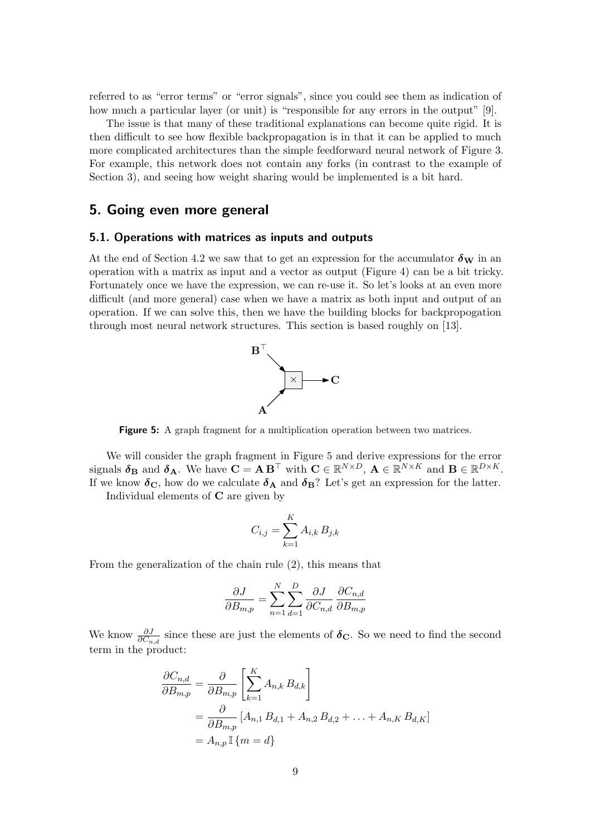referred to as "error terms" or "error signals", since you could see them as indication of how much a particular layer (or unit) is "responsible for any errors in the output" [\[9\]](#page-10-8).

The issue is that many of these traditional explanations can become quite rigid. It is then difficult to see how flexible backpropagation is in that it can be applied to much more complicated architectures than the simple feedforward neural network of Figure [3.](#page-5-0) For example, this network does not contain any forks (in contrast to the example of Section [3\)](#page-1-3), and seeing how weight sharing would be implemented is a bit hard.

### 5. Going even more general

### <span id="page-8-1"></span>5.1. Operations with matrices as inputs and outputs

<span id="page-8-0"></span>At the end of Section [4.2](#page-5-2) we saw that to get an expression for the accumulator  $\delta_{\mathbf{W}}$  in an operation with a matrix as input and a vector as output (Figure [4\)](#page-7-0) can be a bit tricky. Fortunately once we have the expression, we can re-use it. So let's looks at an even more difficult (and more general) case when we have a matrix as both input and output of an operation. If we can solve this, then we have the building blocks for backpropogation through most neural network structures. This section is based roughly on [\[13\]](#page-10-12).



Figure 5: A graph fragment for a multiplication operation between two matrices.

We will consider the graph fragment in Figure [5](#page-8-0) and derive expressions for the error signals  $\boldsymbol{\delta}_{\mathbf{B}}$  and  $\boldsymbol{\delta}_{\mathbf{A}}$ . We have  $\mathbf{C} = \mathbf{A} \mathbf{B}^{\top}$  with  $\mathbf{C} \in \mathbb{R}^{N \times D}$ ,  $\mathbf{A} \in \mathbb{R}^{N \times K}$  and  $\mathbf{B} \in \mathbb{R}^{D \times K}$ . If we know  $\delta_{\rm C}$ , how do we calculate  $\delta_{\rm A}$  and  $\delta_{\rm B}$ ? Let's get an expression for the latter.

Individual elements of  $C$  are given by

$$
C_{i,j} = \sum_{k=1}^{K} A_{i,k} B_{j,k}
$$

From the generalization of the chain rule [\(2\)](#page-0-1), this means that

$$
\frac{\partial J}{\partial B_{m,p}} = \sum_{n=1}^{N} \sum_{d=1}^{D} \frac{\partial J}{\partial C_{n,d}} \frac{\partial C_{n,d}}{\partial B_{m,p}}
$$

We know  $\frac{\partial J}{\partial C_{n,d}}$  since these are just the elements of  $\delta_{\rm C}$ . So we need to find the second term in the product:

$$
\frac{\partial C_{n,d}}{\partial B_{m,p}} = \frac{\partial}{\partial B_{m,p}} \left[ \sum_{k=1}^K A_{n,k} B_{d,k} \right]
$$
  
= 
$$
\frac{\partial}{\partial B_{m,p}} \left[ A_{n,1} B_{d,1} + A_{n,2} B_{d,2} + \dots + A_{n,K} B_{d,K} \right]
$$
  
= 
$$
A_{n,p} \mathbb{I} \{ m = d \}
$$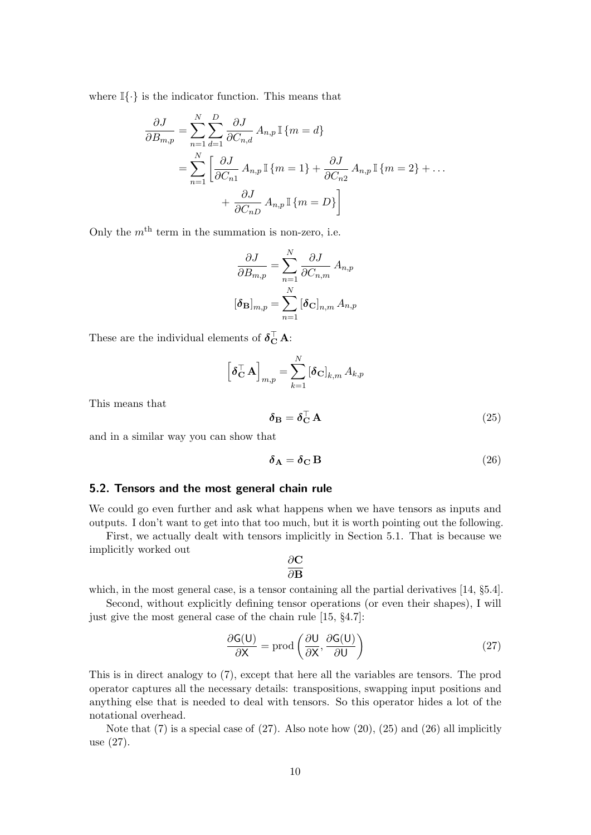where  $\mathbb{I}\{\cdot\}$  is the indicator function. This means that

$$
\frac{\partial J}{\partial B_{m,p}} = \sum_{n=1}^{N} \sum_{d=1}^{D} \frac{\partial J}{\partial C_{n,d}} A_{n,p} \mathbb{I} \{m = d\}
$$

$$
= \sum_{n=1}^{N} \left[ \frac{\partial J}{\partial C_{n1}} A_{n,p} \mathbb{I} \{m = 1\} + \frac{\partial J}{\partial C_{n2}} A_{n,p} \mathbb{I} \{m = 2\} + \dots + \frac{\partial J}{\partial C_{nD}} A_{n,p} \mathbb{I} \{m = D\} \right]
$$

Only the  $m<sup>th</sup>$  term in the summation is non-zero, i.e.

$$
\frac{\partial J}{\partial B_{m,p}} = \sum_{n=1}^{N} \frac{\partial J}{\partial C_{n,m}} A_{n,p}
$$

$$
[\boldsymbol{\delta}_{\mathbf{B}}]_{m,p} = \sum_{n=1}^{N} [\boldsymbol{\delta}_{\mathbf{C}}]_{n,m} A_{n,p}
$$

These are the individual elements of  $\delta_{\mathbf{C}}^{\top} \mathbf{A}$ :

<span id="page-9-1"></span>
$$
\left[\boldsymbol{\delta}_{\mathbf{C}}^{\top} \mathbf{A}\right]_{m,p} = \sum_{k=1}^{N} \left[\boldsymbol{\delta}_{\mathbf{C}}\right]_{k,m} A_{k,p}
$$

This means that

<span id="page-9-2"></span>
$$
\delta_{\mathbf{B}} = \delta_{\mathbf{C}}^{\top} \mathbf{A} \tag{25}
$$

and in a similar way you can show that

$$
\delta_{\mathbf{A}} = \delta_{\mathbf{C}} \mathbf{B} \tag{26}
$$

### 5.2. Tensors and the most general chain rule

We could go even further and ask what happens when we have tensors as inputs and outputs. I don't want to get into that too much, but it is worth pointing out the following.

First, we actually dealt with tensors implicitly in Section [5.1.](#page-8-1) That is because we implicitly worked out ລ∩

<span id="page-9-0"></span>
$$
\frac{\partial \mathbf{C}}{\partial \mathbf{B}}
$$

which, in the most general case, is a tensor containing all the partial derivatives [\[14,](#page-10-13) §5.4].

Second, without explicitly defining tensor operations (or even their shapes), I will just give the most general case of the chain rule [\[15,](#page-10-14) §4.7]:

$$
\frac{\partial G(U)}{\partial X} = \text{prod}\left(\frac{\partial U}{\partial X}, \frac{\partial G(U)}{\partial U}\right) \tag{27}
$$

This is in direct analogy to [\(7\)](#page-4-1), except that here all the variables are tensors. The prod operator captures all the necessary details: transpositions, swapping input positions and anything else that is needed to deal with tensors. So this operator hides a lot of the notational overhead.

Note that  $(7)$  is a special case of  $(27)$ . Also note how  $(20)$ ,  $(25)$  and  $(26)$  all implicitly use [\(27\)](#page-9-0).